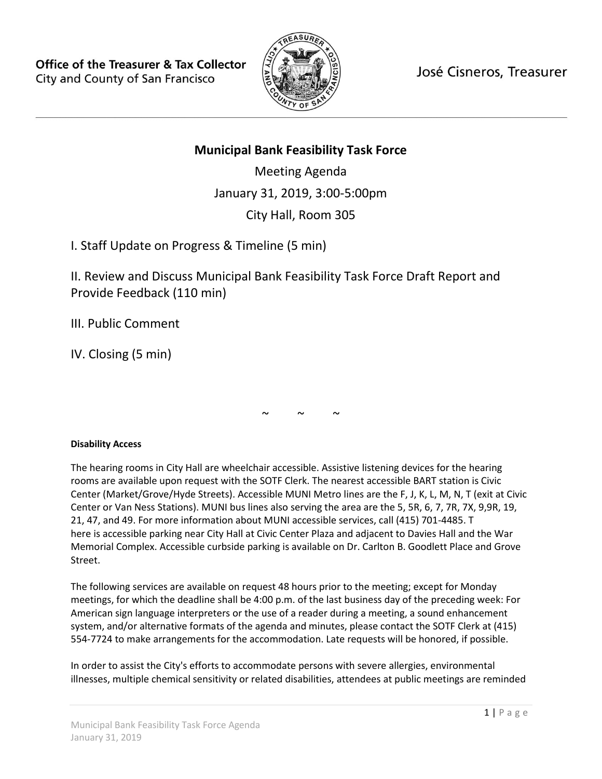**Office of the Treasurer & Tax Collector** City and County of San Francisco



José Cisneros, Treasurer

# **Municipal Bank Feasibility Task Force**

Meeting Agenda January 31, 2019, 3:00-5:00pm City Hall, Room 305

I. Staff Update on Progress & Timeline (5 min)

II. Review and Discuss Municipal Bank Feasibility Task Force Draft Report and Provide Feedback (110 min)

III. Public Comment

IV. Closing (5 min)

 $\sim$   $\sim$   $\sim$ 

## **Disability Access**

The hearing rooms in City Hall are wheelchair accessible. Assistive listening devices for the hearing rooms are available upon request with the SOTF Clerk. The nearest accessible BART station is Civic Center (Market/Grove/Hyde Streets). Accessible MUNI Metro lines are the F, J, K, L, M, N, T (exit at Civic Center or Van Ness Stations). MUNI bus lines also serving the area are the 5, 5R, 6, 7, 7R, 7X, 9,9R, 19, 21, 47, and 49. For more information about MUNI accessible services, call (415) 701-4485. T here is accessible parking near City Hall at Civic Center Plaza and adjacent to Davies Hall and the War Memorial Complex. Accessible curbside parking is available on Dr. Carlton B. Goodlett Place and Grove Street.

The following services are available on request 48 hours prior to the meeting; except for Monday meetings, for which the deadline shall be 4:00 p.m. of the last business day of the preceding week: For American sign language interpreters or the use of a reader during a meeting, a sound enhancement system, and/or alternative formats of the agenda and minutes, please contact the SOTF Clerk at (415) 554-7724 to make arrangements for the accommodation. Late requests will be honored, if possible.

In order to assist the City's efforts to accommodate persons with severe allergies, environmental illnesses, multiple chemical sensitivity or related disabilities, attendees at public meetings are reminded